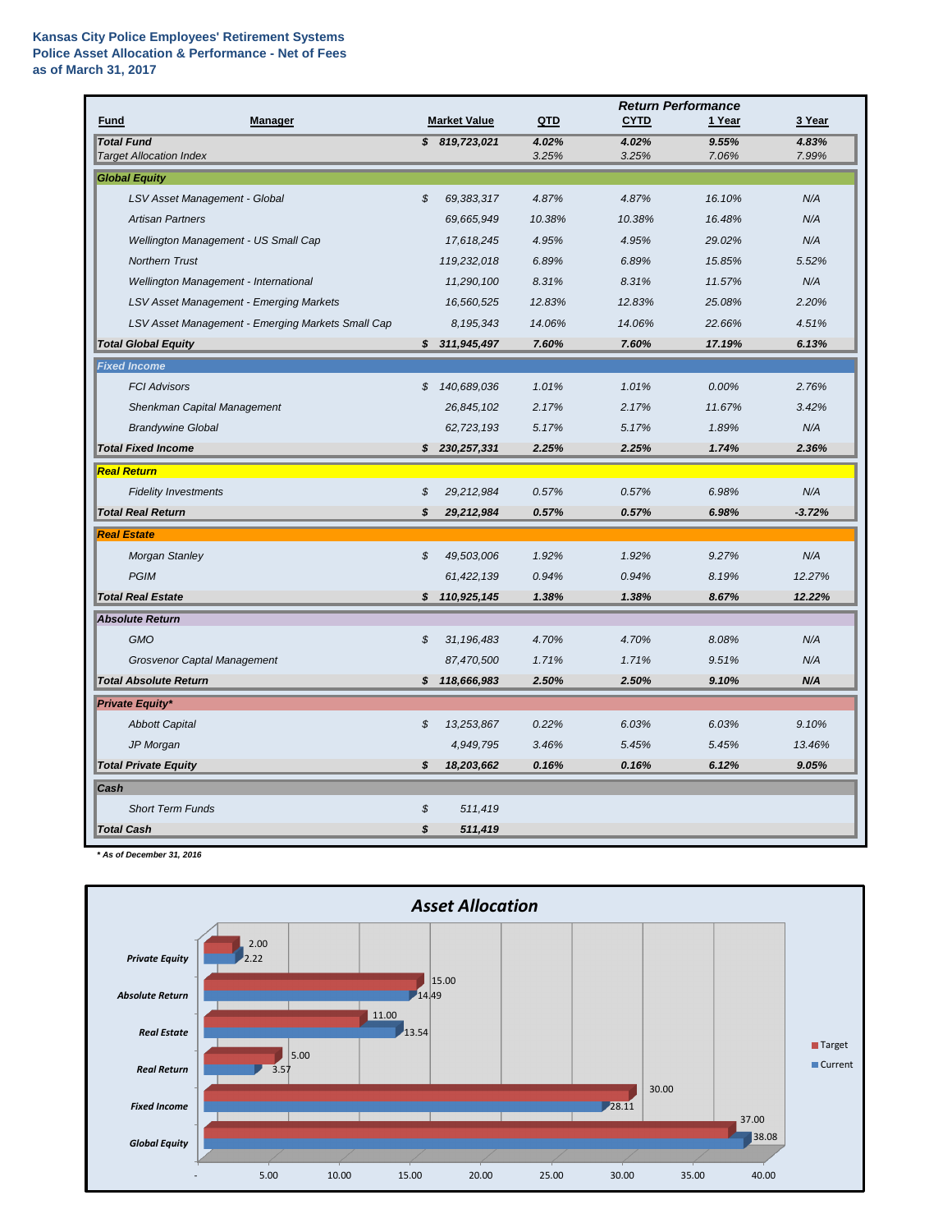## **Kansas City Police Employees' Retirement Systems Police Asset Allocation & Performance - Net of Fees as of March 31, 2017**

|                                                     |                            |                     |                | <b>Return Performance</b> |                |                |  |  |
|-----------------------------------------------------|----------------------------|---------------------|----------------|---------------------------|----------------|----------------|--|--|
| <b>Manager</b><br><b>Fund</b>                       |                            | <b>Market Value</b> | QTD            | <b>CYTD</b>               | 1 Year         | 3 Year         |  |  |
| <b>Total Fund</b><br><b>Target Allocation Index</b> |                            | \$819,723,021       | 4.02%<br>3.25% | 4.02%<br>3.25%            | 9.55%<br>7.06% | 4.83%<br>7.99% |  |  |
| <b>Global Equity</b>                                |                            |                     |                |                           |                |                |  |  |
| LSV Asset Management - Global                       | \$                         | 69,383,317          | 4.87%          | 4.87%                     | 16.10%         | N/A            |  |  |
| <b>Artisan Partners</b>                             |                            | 69,665,949          | 10.38%         | 10.38%                    | 16.48%         | N/A            |  |  |
| Wellington Management - US Small Cap                |                            | 17,618,245          | 4.95%          | 4.95%                     | 29.02%         | N/A            |  |  |
| <b>Northern Trust</b>                               |                            | 119,232,018         | 6.89%          | 6.89%                     | 15.85%         | 5.52%          |  |  |
| Wellington Management - International               |                            | 11,290,100          | 8.31%          | 8.31%                     | 11.57%         | N/A            |  |  |
| LSV Asset Management - Emerging Markets             |                            | 16,560,525          | 12.83%         | 12.83%                    | 25.08%         | 2.20%          |  |  |
| LSV Asset Management - Emerging Markets Small Cap   |                            | 8,195,343           | 14.06%         | 14.06%                    | 22.66%         | 4.51%          |  |  |
| <b>Total Global Equity</b>                          |                            | \$311,945,497       | 7.60%          | 7.60%                     | 17.19%         | 6.13%          |  |  |
| <b>Fixed Income</b>                                 |                            |                     |                |                           |                |                |  |  |
| <b>FCI Advisors</b>                                 | \$                         | 140,689,036         | 1.01%          | 1.01%                     | 0.00%          | 2.76%          |  |  |
| <b>Shenkman Capital Management</b>                  |                            | 26,845,102          | 2.17%          | 2.17%                     | 11.67%         | 3.42%          |  |  |
| <b>Brandywine Global</b>                            |                            | 62,723,193          | 5.17%          | 5.17%                     | 1.89%          | N/A            |  |  |
| <b>Total Fixed Income</b>                           |                            | \$230,257,331       | 2.25%          | 2.25%                     | 1.74%          | 2.36%          |  |  |
| <b>Real Return</b>                                  |                            |                     |                |                           |                |                |  |  |
| <b>Fidelity Investments</b>                         | \$                         | 29,212,984          | 0.57%          | 0.57%                     | 6.98%          | N/A            |  |  |
| <b>Total Real Return</b>                            | S                          | 29,212,984          | 0.57%          | 0.57%                     | 6.98%          | $-3.72%$       |  |  |
| <b>Real Estate</b>                                  |                            |                     |                |                           |                |                |  |  |
| <b>Morgan Stanley</b>                               | $\boldsymbol{\mathcal{S}}$ | 49,503,006          | 1.92%          | 1.92%                     | 9.27%          | N/A            |  |  |
| <b>PGIM</b>                                         |                            | 61,422,139          | 0.94%          | 0.94%                     | 8.19%          | 12.27%         |  |  |
| <b>Total Real Estate</b>                            | $\boldsymbol{\mathcal{S}}$ | 110,925,145         | 1.38%          | 1.38%                     | 8.67%          | 12.22%         |  |  |
| <b>Absolute Return</b>                              |                            |                     |                |                           |                |                |  |  |
| <b>GMO</b>                                          | \$                         | 31,196,483          | 4.70%          | 4.70%                     | 8.08%          | N/A            |  |  |
| <b>Grosvenor Captal Management</b>                  |                            | 87,470,500          | 1.71%          | 1.71%                     | 9.51%          | N/A            |  |  |
| <b>Total Absolute Return</b>                        | $\boldsymbol{\mathcal{S}}$ | 118,666,983         | 2.50%          | 2.50%                     | 9.10%          | N/A            |  |  |
| <b>Private Equity*</b>                              |                            |                     |                |                           |                |                |  |  |
| <b>Abbott Capital</b>                               | $\boldsymbol{\mathcal{S}}$ | 13,253,867          | 0.22%          | 6.03%                     | 6.03%          | 9.10%          |  |  |
| JP Morgan                                           |                            | 4,949,795           | 3.46%          | 5.45%                     | 5.45%          | 13.46%         |  |  |
| <b>Total Private Equity</b>                         | $\boldsymbol{\mathcal{S}}$ | 18,203,662          | 0.16%          | 0.16%                     | 6.12%          | 9.05%          |  |  |
| Cash                                                |                            |                     |                |                           |                |                |  |  |
| <b>Short Term Funds</b>                             | $\boldsymbol{\mathcal{S}}$ | 511,419             |                |                           |                |                |  |  |
| <b>Total Cash</b>                                   | \$                         | 511,419             |                |                           |                |                |  |  |

*\* As of December 31, 2016*